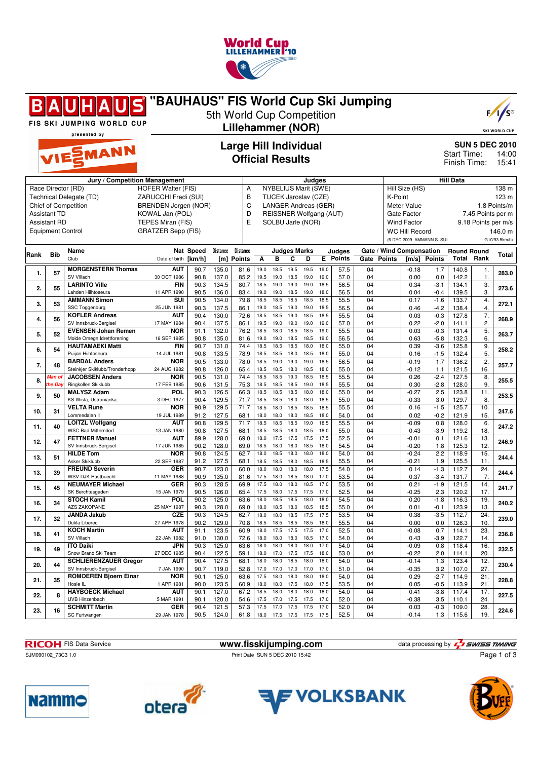

| "BAUHAUS" FIS World Cup Ski Jumping<br>$F/1/S^{\circ}$<br>5th World Cup Competition<br>FIS SKI JUMPING WORLD CUP<br><b>Lillehammer (NOR)</b><br><b>SKI WORLD CUP</b> |                                                                        |                                                                                                        |                                                                   |                                                                           |                |                 |              |                                                                                                                                       |                     |              |              |               |          |                                                                                                                                                                                              |                    |                             |                |                                         |                                                            |
|----------------------------------------------------------------------------------------------------------------------------------------------------------------------|------------------------------------------------------------------------|--------------------------------------------------------------------------------------------------------|-------------------------------------------------------------------|---------------------------------------------------------------------------|----------------|-----------------|--------------|---------------------------------------------------------------------------------------------------------------------------------------|---------------------|--------------|--------------|---------------|----------|----------------------------------------------------------------------------------------------------------------------------------------------------------------------------------------------|--------------------|-----------------------------|----------------|-----------------------------------------|------------------------------------------------------------|
| presented by<br><b>Large Hill Individual</b><br>VIESMANN<br><b>Official Results</b>                                                                                  |                                                                        |                                                                                                        |                                                                   |                                                                           |                |                 |              |                                                                                                                                       |                     |              |              |               |          |                                                                                                                                                                                              |                    | Start Time:<br>Finish Time: |                | <b>SUN 5 DEC 2010</b><br>14:00<br>15:41 |                                                            |
|                                                                                                                                                                      | <b>Assistant TD</b><br><b>Assistant RD</b><br><b>Equipment Control</b> | Jury / Competition Management<br>Race Director (RD)<br>Technical Delegate (TD)<br>Chief of Competition | <b>HOFER Walter (FIS)</b><br>KOWAL Jan (POL)<br>TEPES Miran (FIS) | ZARUCCHI Fredi (SUI)<br>BRENDEN Jorgen (NOR)<br><b>GRATZER Sepp (FIS)</b> |                |                 |              | Judges<br><b>NYBELIUS Marit (SWE)</b><br>TUCEK Jaroslav (CZE)<br>LANGER Andreas (GER)<br>REISSNER Wolfgang (AUT)<br>SOLBU Jarle (NOR) |                     |              |              |               |          | <b>Hill Data</b><br>Hill Size (HS)<br>K-Point<br>Meter Value<br>7.45 Points per m<br>Gate Factor<br><b>Wind Factor</b><br>9.18 Points per m/s<br>WC Hill Record<br>(6 DEC 2009 AMMANN S. SUI |                    |                             |                |                                         | 138 m<br>123 m<br>1.8 Points/m<br>146.0 m<br>G10/93.5km/h) |
| <b>IRank</b>                                                                                                                                                         | <b>Bib</b>                                                             | Name                                                                                                   |                                                                   | Nat Speed                                                                 | Distance       | <b>Distance</b> |              |                                                                                                                                       | <b>Judges Marks</b> |              |              | Judges        |          | Gate / Wind Compensation<br><b>Round Round</b>                                                                                                                                               |                    |                             |                |                                         | Total                                                      |
|                                                                                                                                                                      |                                                                        | Club                                                                                                   | Date of birth [km/h]                                              |                                                                           |                | [m] Points      | A            | в                                                                                                                                     | C                   | D            | E.           | <b>Points</b> | Gate     | <b>Points</b>                                                                                                                                                                                | [m/s]              | <b>Points</b>               | Total          | Rank                                    |                                                            |
| 1.                                                                                                                                                                   | 57                                                                     | <b>MORGENSTERN Thomas</b><br>SV Villach                                                                | AUT<br>30 OCT 1986                                                | 90.7<br>90.8                                                              | 135.0<br>137.0 | 81.6<br>85.2    | 19.0<br>19.5 | 18.5<br>19.0                                                                                                                          | 19.5<br>18.5        | 19.5<br>19.0 | 19.0<br>19.0 | 57.5<br>57.0  | 04<br>04 |                                                                                                                                                                                              | $-0.18$<br>0.00    | 1.7<br>0.0                  | 140.8<br>142.2 | 1.<br>1.                                | 283.0                                                      |
| 2.                                                                                                                                                                   | 55                                                                     | <b>LARINTO Ville</b>                                                                                   | <b>FIN</b>                                                        | 90.3                                                                      | 134.5          | 80.7            | 18.5         | 19.0                                                                                                                                  | 19.0                | 19.0         | 18.5         | 56.5          | 04       |                                                                                                                                                                                              | 0.34               | $-3.1$                      | 134.1          | 3.                                      | 273.6                                                      |
|                                                                                                                                                                      |                                                                        | Lahden Hiihtoseura<br><b>AMMANN Simon</b>                                                              | 11 APR 1990<br>SUI                                                | 90.5<br>90.5                                                              | 136.0<br>134.0 | 83.4<br>79.8    | 19.0<br>18.5 | 19.0<br>18.5                                                                                                                          | 18.5<br>18.5        | 19.0<br>18.5 | 18.0<br>18.5 | 56.5<br>55.5  | 04<br>04 |                                                                                                                                                                                              | 0.04<br>0.17       | $-0.4$<br>$-1.6$            | 139.5<br>133.7 | 3.<br>4.                                |                                                            |
| 3.                                                                                                                                                                   | 53                                                                     | <b>SSC Toggenburg</b>                                                                                  | 25 JUN 1981                                                       | 90.3                                                                      | 137.5          | 86.1            | 19.0         | 18.5                                                                                                                                  | 19.0                | 19.0         | 18.5         | 56.5          | 04       |                                                                                                                                                                                              | 0.46               | $-4.2$                      | 138.4          | 4.                                      | 272.1                                                      |
| 4.                                                                                                                                                                   | 56                                                                     | <b>KOFLER Andreas</b><br>SV Innsbruck-Bergisel                                                         | AUT<br>17 MAY 1984                                                | 90.4<br>90.4                                                              | 130.0<br>137.5 | 72.6<br>86.1    | 18.5<br>19.5 | 18.5<br>19.0                                                                                                                          | 19.0<br>19.0        | 18.5<br>19.0 | 18.5<br>19.0 | 55.5<br>57.0  | 04<br>04 |                                                                                                                                                                                              | 0.03<br>0.22       | $-0.3$<br>$-2.0$            | 127.8<br>141.1 | 7.<br>2.                                | 268.9                                                      |
| 5.                                                                                                                                                                   | 52                                                                     | <b>EVENSEN Johan Remen</b><br>Molde Omegn Idrettforening                                               | <b>NOR</b><br>16 SEP 1985                                         | 91.1<br>90.8                                                              | 132.0<br>135.0 | 76.2<br>81.6    | 18.5<br>19.0 | 18.0<br>19.0                                                                                                                          | 18.5<br>18.5        | 18.5<br>18.5 | 19.0<br>19.0 | 55.5<br>56.5  | 04<br>04 |                                                                                                                                                                                              | 0.03<br>0.63       | $-0.3$<br>$-5.8$            | 131.4<br>132.3 | 5.<br>6.                                | 263.7                                                      |
| 6.                                                                                                                                                                   | 54                                                                     | <b>HAUTAMAEKI Matti</b>                                                                                | <b>FIN</b>                                                        | 90.7                                                                      | 131.0          | 74.4            | 18.5         | 18.5                                                                                                                                  | 18.5                | 18.0         | 18.0         | 55.0          | 04       |                                                                                                                                                                                              | 0.39               | $-3.6$                      | 125.8          | 9.                                      | 258.2                                                      |
|                                                                                                                                                                      |                                                                        | Puijon Hiihtoseura<br><b>BARDAL Anders</b>                                                             | 14 JUL 1981<br><b>NOR</b>                                         | 90.8<br>90.5                                                              | 133.5<br>133.0 | 78.9<br>78.0    | 18.5<br>18.5 | 18.5<br>19.0                                                                                                                          | 18.0<br>19.0        | 18.5<br>19.0 | 18.0<br>18.5 | 55.0<br>56.5  | 04<br>04 |                                                                                                                                                                                              | 0.16<br>$-0.19$    | $-1.5$<br>1.7               | 132.4<br>136.2 | 5.<br>2.                                |                                                            |
| 7.                                                                                                                                                                   | 48                                                                     | Steinkjer Skiklubb/Tronderhopp                                                                         | 24 AUG 1982                                                       | 90.8                                                                      | 126.0          | 65.4            | 18.5         | 18.5                                                                                                                                  | 18.0                | 18.5         | 18.0         | 55.0          | 04       |                                                                                                                                                                                              | $-0.12$            | 1.1                         | 121.5          | 16.                                     | 257.7                                                      |
| 8.                                                                                                                                                                   | Man of<br>he Da                                                        | <b>JACOBSEN Anders</b><br>Ringkollen Skiklubb                                                          | <b>NOR</b><br>17 FEB 1985                                         | 90.5<br>90.6                                                              | 131.0<br>131.5 | 74.4<br>75.3    | 18.5<br>18.5 | 18.5<br>18.5                                                                                                                          | 19.0<br>18.5        | 18.5<br>19.0 | 18.5<br>18.5 | 55.5<br>55.5  | 04<br>04 |                                                                                                                                                                                              | 0.26<br>0.30       | $-2.4$<br>$-2.8$            | 127.5<br>128.0 | 8.<br>9.                                | 255.5                                                      |
| 9.                                                                                                                                                                   | 50                                                                     | <b>MALYSZ Adam</b>                                                                                     | POL                                                               | 90.3                                                                      | 126.5          | 66.3            | 18.5         | 18.5                                                                                                                                  | 18.5                | 18.0         | 18.0         | 55.0          | 04       |                                                                                                                                                                                              | $-0.27$            | 2.5                         | 123.8          | 11.                                     | 253.5                                                      |
| 10.                                                                                                                                                                  | 31                                                                     | KS Wisla, Ustronianka<br><b>VELTA Rune</b>                                                             | 3 DEC 1977<br><b>NOR</b>                                          | 90.4<br>90.9                                                              | 129.5<br>129.5 | 71.7<br>71.7    | 18.5<br>18.5 | 18.5<br>18.0                                                                                                                          | 18.0<br>18.5        | 18.0<br>18.5 | 18.5<br>18.5 | 55.0<br>55.5  | 04<br>04 |                                                                                                                                                                                              | $-0.33$<br>0.16    | 3.0<br>$-1.5$               | 129.7<br>125.7 | 8.<br>10.                               | 247.6                                                      |
|                                                                                                                                                                      |                                                                        | Lommedalen II<br><b>LOITZL Wolfgang</b>                                                                | 19 JUL 1989<br><b>AUT</b>                                         | 91.2<br>90.8                                                              | 127.5<br>129.5 | 68.1<br>71.7    | 18.0<br>18.5 | 18.0<br>18.5                                                                                                                          | 18.0<br>18.5        | 18.5<br>19.0 | 18.0<br>18.5 | 54.0<br>55.5  | 04<br>04 |                                                                                                                                                                                              | 0.02<br>$-0.09$    | $-0.2$<br>0.8               | 121.9<br>128.0 | 15.<br>6.                               |                                                            |
| 11.                                                                                                                                                                  | 40                                                                     | <b>WSC Bad Mitterndorf</b>                                                                             | 13 JAN 1980                                                       | 90.8                                                                      | 127.5          | 68.1            | 18.5         | 18.5                                                                                                                                  | 18.0                | 18.5         | 18.0         | 55.0          | 04       |                                                                                                                                                                                              | 0.43               | $-3.9$                      | 119.2          | 18.                                     | 247.2                                                      |
| 12.                                                                                                                                                                  | 47                                                                     | <b>FETTNER Manuel</b><br>SV Innsbruck-Bergisel                                                         | AUT<br>17 JUN 1985                                                | 89.9                                                                      | 128.0          | 69.0            | 18.0<br>18.5 | 17.5<br>18.0                                                                                                                          | 17.5<br>18.0        | 17.5<br>18.5 | 17.5<br>18.0 | 52.5          | 04       |                                                                                                                                                                                              | $-0.01$            | 0.1                         | 121.6          | 13.<br>12.                              | 246.9                                                      |
| 13.                                                                                                                                                                  | 51                                                                     | <b>HILDE Tom</b>                                                                                       | <b>NOR</b>                                                        | 90.2<br>90.8                                                              | 128.0<br>124.5 | 69.0<br>62.7    | 18.0         | 18.5                                                                                                                                  | 18.0                | 18.0         | 18.0         | 54.5<br>54.0  | 04<br>04 |                                                                                                                                                                                              | $-0.20$<br>$-0.24$ | 1.8<br>2.2                  | 125.3<br>118.9 | 15.                                     | 244.4                                                      |
|                                                                                                                                                                      |                                                                        | Asker Skiklubb<br><b>FREUND Severin</b>                                                                | 22 SEP 1987<br><b>GER</b>                                         | 91.2<br>90.7                                                              | 127.5<br>123.0 | 68.1<br>60.0    | 18.5<br>18.0 | 18.5<br>18.0                                                                                                                          | 18.0<br>18.0        | 18.5<br>18.0 | 18.5<br>17.5 | 55.5<br>54.0  | 04<br>04 |                                                                                                                                                                                              | $-0.21$<br>0.14    | 1.9<br>$-1.3$               | 125.5<br>112.7 | 11.<br>24.                              |                                                            |
| 13.                                                                                                                                                                  | 39                                                                     | <b>WSV DJK Rastbuechl</b>                                                                              | 11 MAY 1988                                                       | 90.9                                                                      | 135.0          | 81.6            | 17.5         | 18.0                                                                                                                                  | 18.5                | 18.0         | 17.0         | 53.5          | 04       |                                                                                                                                                                                              | 0.37               | $-3.4$                      | 131.7          | 7.                                      | 244.4                                                      |
| 15.                                                                                                                                                                  | 45                                                                     | <b>NEUMAYER Michael</b><br>SK Berchtesgaden                                                            | <b>GER</b><br>15 JAN 1979                                         | 90.3<br>90.5                                                              | 128.5<br>126.0 | 69.9<br>65.4    | 17.5<br>17.5 | 18.0<br>18.0                                                                                                                          | 18.0<br>17.5        | 18.5<br>17.5 | 17.0<br>17.0 | 53.5<br>52.5  | 04<br>04 |                                                                                                                                                                                              | 0.21<br>$-0.25$    | $-1.9$<br>2.3               | 121.5<br>120.2 | 14.<br>17.                              | 241.7                                                      |
| 16.                                                                                                                                                                  | 34                                                                     | <b>STOCH Kamil</b>                                                                                     | <b>POL</b>                                                        | 90.2                                                                      | 125.0          | 63.6            | 18.0         | 18.5                                                                                                                                  | 18.5                | 18.0         | 18.0         | 54.5          | 04       |                                                                                                                                                                                              | 0.20               | $-1.8$                      | 116.3          | 19.                                     | 240.2                                                      |
|                                                                                                                                                                      |                                                                        | AZS ZAKOPANE<br><b>JANDA Jakub</b>                                                                     | 25 MAY 1987<br>CZE                                                | 90.3<br>90.3                                                              | 128.0<br>124.5 | 69.0<br>62.7    | 18.0<br>18.0 | 18.5<br>18.0                                                                                                                          | 18.0<br>18.5        | 18.5<br>17.5 | 18.5<br>17.5 | 55.0<br>53.5  | 04<br>04 |                                                                                                                                                                                              | 0.01<br>0.38       | $-0.1$<br>$-3.5$            | 123.9<br>112.7 | 13.<br>24.                              |                                                            |
| 17.                                                                                                                                                                  | 32                                                                     | Dukla Liberec                                                                                          | 27 APR 1978                                                       | 90.2                                                                      | 129.0          | 70.8            | 18.5         | 18.5                                                                                                                                  | 18.5                | 18.5         | 18.0         | 55.5          | 04       |                                                                                                                                                                                              | 0.00               | 0.0                         | 126.3          | 10.                                     | 239.0                                                      |
| 18.                                                                                                                                                                  | 41                                                                     | <b>KOCH Martin</b><br>SV Villach                                                                       | AUT<br>22 JAN 1982                                                | 91.1<br>91.0                                                              | 123.5<br>130.0 | 60.9<br>72.6    | 18.0<br>18.0 | 17.5<br>18.0                                                                                                                          | 17.5<br>18.0        | 17.5<br>18.5 | 17.0<br>17.0 | 52.5<br>54.0  | 04<br>04 |                                                                                                                                                                                              | $-0.08$<br>0.43    | 0.7<br>$-3.9$               | 114.1<br>122.7 | 23.<br>14.                              | 236.8                                                      |
| 19.                                                                                                                                                                  | 49                                                                     | <b>ITO Daiki</b><br>Snow Brand Ski Team                                                                | JPN                                                               | 90.3                                                                      | 125.0          | 63.6            | 18.0         | 18.0                                                                                                                                  | 18.0                | 18.0         | 17.0         | 54.0          | 04       |                                                                                                                                                                                              | $-0.09$            | 0.8                         | 118.4          | 16.                                     | 232.5                                                      |
| 20.                                                                                                                                                                  | 44                                                                     | <b>SCHLIERENZAUER Gregor</b>                                                                           | 27 DEC 1985<br><b>AUT</b>                                         | 90.4<br>90.4                                                              | 122.5<br>127.5 | 59.1<br>68.1    | 18.0<br>18.0 | 17.0<br>18.0                                                                                                                          | 17.5<br>18.5        | 17.5<br>18.0 | 18.0<br>18.0 | 53.0<br>54.0  | 04<br>04 |                                                                                                                                                                                              | $-0.22$<br>$-0.14$ | 2.0<br>1.3                  | 114.1<br>123.4 | 20.<br>12.                              | 230.4                                                      |
|                                                                                                                                                                      |                                                                        | SV Innsbruck-Bergisel<br><b>ROMOEREN Bjoern Einar</b>                                                  | 7 JAN 1990<br><b>NOR</b>                                          | 90.7<br>90.1                                                              | 119.0<br>125.0 | 52.8<br>63.6    | 17.0<br>17.5 | 17.0<br>18.0                                                                                                                          | 17.0 17.0<br>18.0   | 18.0         | 17.0<br>18.0 | 51.0<br>54.0  | 04<br>04 |                                                                                                                                                                                              | $-0.35$<br>0.29    | 3.2<br>$-2.7$               | 107.0<br>114.9 | 27.<br>21.                              |                                                            |
| 21.                                                                                                                                                                  | 35                                                                     | Hosle IL                                                                                               | 1 APR 1981                                                        | 90.0                                                                      | 123.5          | 60.9            | 18.0         | 18.0                                                                                                                                  | 17.5 18.0           |              | 17.5         | 53.5          | 04       |                                                                                                                                                                                              | 0.05               | $-0.5$                      | 113.9          | 21.                                     | 228.8                                                      |
| 22.                                                                                                                                                                  | 8                                                                      | <b>HAYBOECK Michael</b><br>UVB Hinzenbach                                                              | AUT                                                               | 90.1<br>90.1                                                              | 127.0<br>120.0 | 67.2            | 18.5<br>17.5 | 18.0<br>17.0                                                                                                                          | 18.0<br>17.5        | 18.0         | 18.0<br>17.0 | 54.0          | 04       |                                                                                                                                                                                              | 0.41               | $-3.8$                      | 117.4          | 17.<br>24.                              | 227.5                                                      |
| 23.                                                                                                                                                                  | 16                                                                     | <b>SCHMITT Martin</b>                                                                                  | 5 MAR 1991<br>GER                                                 | 90.4                                                                      | 121.5          | 54.6<br>57.3    | 17.5         | 17.0                                                                                                                                  | 17.5                | 17.5<br>17.5 | 17.0         | 52.0<br>52.0  | 04<br>04 |                                                                                                                                                                                              | $-0.38$<br>0.03    | 3.5<br>$-0.3$               | 110.1<br>109.0 | 28.                                     |                                                            |
|                                                                                                                                                                      |                                                                        | SC Furtwangen                                                                                          | 29 JAN 1978                                                       | 90.5                                                                      | 124.0          | 61.8            |              |                                                                                                                                       | 18.0 17.5 17.5 17.5 |              | 17.5         | 52.5          | 04       |                                                                                                                                                                                              | $-0.14$            | 1.3                         | 115.6          | 19.                                     | 224.6                                                      |

FIS Data Service **www.fisskijumping.com** atta processing by a strong term of the strong by

Page 1 of 3

SJM090102\_73C3 1.0 Print Date SUN 5 DEC 2010 15:42







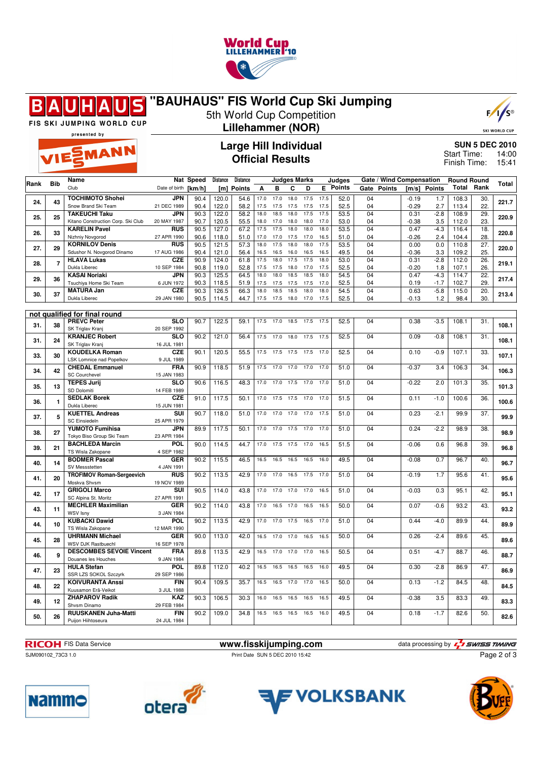

## **"BAUHAUS" FIS World Cup Ski Jumping** S Β 5th World Cup Competition



FIS SKI JUMPING WORLD CUP presented by

EMANN

## **Lillehammer (NOR)**

**Large Hill Individual Official Results**

SKI WORLD CUP **SUN 5 DEC 2010**

14:00 15:41 Start Time: Finish Time:

| Rank | <b>Bib</b>     | Name                                              |                           | Nat Speed | <b>Distance</b> | Distance      |      |      | <b>Judges Marks</b> |      |      | Judges   |                 | Gate / Wind Compensation |         |        | <b>Round Round</b><br>Total | Rank            | Total |
|------|----------------|---------------------------------------------------|---------------------------|-----------|-----------------|---------------|------|------|---------------------|------|------|----------|-----------------|--------------------------|---------|--------|-----------------------------|-----------------|-------|
|      |                | Club                                              | Date of birth             | [km/h]    | [m]             | <b>Points</b> | Α    | в    | С                   | D    |      | E Points | Gate            | <b>Points</b>            | [m/s]   | Points |                             |                 |       |
| 24.  | 43             | <b>TOCHIMOTO Shohei</b>                           | <b>JPN</b>                | 90.4      | 120.0           | 54.6          | 17.0 | 17.0 | 18.0                | 17.5 | 17.5 | 52.0     | 04              |                          | $-0.19$ | 1.7    | 108.3                       | 30.             | 221.7 |
|      |                | Snow Brand Ski Team                               | 21 DEC 1989               | 90.4      | 122.0           | 58.2          | 17.5 | 17.5 | 17.5                | 17.5 | 17.5 | 52.5     | 04              |                          | $-0.29$ | 2.7    | 113.4                       | 22.             |       |
| 25.  | 25             | <b>TAKEUCHI Taku</b>                              | JPN                       | 90.3      | 122.0           | 58.2          | 18.0 | 18.5 | 18.0                | 17.5 | 17.5 | 53.5     | $\overline{04}$ |                          | 0.31    | $-2.8$ | 108.9                       | 29.             | 220.9 |
|      |                | Kitano Construction Corp. Ski Club                | 20 MAY 1987               | 90.7      | 120.5           | 55.5          | 18.0 | 17.0 | 18.0                | 18.0 | 17.0 | 53.0     | 04              |                          | $-0.38$ | 3.5    | 112.0                       | 23.             |       |
| 26.  | 33             | <b>KARELIN Pavel</b>                              | <b>RUS</b>                | 90.5      | 127.0           | 67.2          | 17.5 | 17.5 | 18.0                | 18.0 | 18.0 | 53.5     | 04              |                          | 0.47    | $-4.3$ | 116.4                       | 18.             | 220.8 |
|      |                | Nizhniy Novgorod                                  | 27 APR 1990               | 90.6      | 118.0           | 51.0          | 17.0 | 17.0 | 17.5                | 17.0 | 16.5 | 51.0     | 04              |                          | $-0.26$ | 2.4    | 104.4                       | 28.             |       |
| 27.  | 29             | <b>KORNILOV Denis</b>                             | <b>RUS</b>                | 90.5      | 121.5           | 57.3          | 18.0 | 17.5 | 18.0                | 18.0 | 17.5 | 53.5     | 04              |                          | 0.00    | 0.0    | 110.8                       | 27.             | 220.0 |
|      |                | Sdushor N. Novgorod Dinamo                        | 17 AUG 1986               | 90.4      | 121.0           | 56.4          | 16.5 | 16.5 | 16.0                | 16.5 | 16.5 | 49.5     | 04              |                          | $-0.36$ | 3.3    | 109.2                       | 25.             |       |
| 28.  | $\overline{7}$ | <b>HLAVA Lukas</b>                                | <b>CZE</b>                | 90.9      | 124.0           | 61.8          | 17.5 | 18.0 | 17.5                | 17.5 | 18.0 | 53.0     | $\overline{04}$ |                          | 0.31    | $-2.8$ | 112.0                       | 26.             | 219.1 |
|      |                | Dukla Liberec                                     | 10 SEP 1984               | 90.8      | 119.0           | 52.8          | 17.5 | 17.5 | 18.0                | 17.0 | 17.5 | 52.5     | 04              |                          | $-0.20$ | 1.8    | 107.1                       | 26.             |       |
| 29.  | 36             | <b>KASAI Noriaki</b>                              | <b>JPN</b>                | 90.3      | 125.5           | 64.5          | 18.0 | 18.0 | 18.5                | 18.5 | 18.0 | 54.5     | 04              |                          | 0.47    | $-4.3$ | 114.7                       | 22.             | 217.4 |
|      |                | Tsuchiya Home Ski Team                            | 6 JUN 1972                | 90.3      | 118.5           | 51.9          | 17.5 | 17.5 | 17.5                | 17.5 | 17.0 | 52.5     | 04              |                          | 0.19    | $-1.7$ | 102.7                       | 29.             |       |
| 30.  | 37             | <b>MATURA Jan</b>                                 | <b>CZE</b>                | 90.3      | 126.5           | 66.3          | 18.0 | 18.5 | 18.5                | 18.0 | 18.0 | 54.5     | $\overline{04}$ |                          | 0.63    | $-5.8$ | 115.0                       | $\overline{20}$ | 213.4 |
|      |                | Dukla Liberec                                     | 29 JAN 1980               | 90.5      | 114.5           | 44.7          | 17.5 | 17.5 | 18.0                | 17.0 | 17.5 | 52.5     | 04              |                          | $-0.13$ | 1.2    | 98.4                        | 30.             |       |
|      |                |                                                   |                           |           |                 |               |      |      |                     |      |      |          |                 |                          |         |        |                             |                 |       |
|      |                | not qualified for final round                     |                           |           |                 |               |      |      |                     |      |      |          |                 |                          |         |        |                             |                 |       |
| 31.  | 38             | <b>PREVC Peter</b>                                | <b>SLO</b>                | 90.7      | 122.5           | 59.1          | 17.5 | 17.0 | 18.5                | 17.5 | 17.5 | 52.5     | 04              |                          | 0.38    | $-3.5$ | 108.1                       | 31.             | 108.1 |
|      |                | SK Triglav Kranj                                  | 20 SEP 1992               |           |                 |               |      |      |                     |      |      |          |                 |                          |         |        |                             |                 |       |
| 31.  | 24             | <b>KRANJEC Robert</b>                             | $\overline{\text{SLO}}$   | 90.2      | 121.0           | 56.4          | 17.5 | 17.0 | 18.0                | 17.5 | 17.5 | 52.5     | 04              |                          | 0.09    | $-0.8$ | 108.1                       | $\overline{31}$ | 108.1 |
|      |                | SK Triglav Kranj                                  | 16 JUL 1981               |           |                 |               |      |      |                     |      |      |          |                 |                          |         |        |                             |                 |       |
| 33.  | 30             | <b>KOUDELKA Roman</b>                             | <b>CZE</b>                | 90.1      | 120.5           | 55.5          | 17.5 | 17.5 | 17.5                | 17.5 | 17.0 | 52.5     | 04              |                          | 0.10    | $-0.9$ | 107.1                       | $\overline{33}$ | 107.1 |
|      |                | <b>LSK Lomnice nad Popelkov</b>                   | 9 JUL 1989                |           |                 |               |      |      |                     |      |      |          |                 |                          |         |        |                             |                 |       |
| 34.  | 42             | <b>CHEDAL Emmanuel</b>                            | <b>FRA</b>                | 90.9      | 118.5           | 51.9          | 17.5 | 17.0 | 17.0                | 17.0 | 17.0 | 51.0     | 04              |                          | $-0.37$ | 3.4    | 106.3                       | 34.             | 106.3 |
|      |                | <b>SC Courchevel</b>                              | 15 JAN 1983               |           |                 |               |      |      |                     |      |      |          |                 |                          |         |        |                             |                 |       |
| 35.  | 13             | <b>TEPES Jurij</b>                                | $\overline{\text{slo}}$   | 90.6      | 116.5           | 48.3          | 17.0 | 17.0 | 17.5                | 17.0 | 17.0 | 51.0     | 04              |                          | $-0.22$ | 2.0    | 101.3                       | $\overline{35}$ | 101.3 |
|      |                | SD Dolomiti                                       | 14 FEB 1989               |           |                 |               |      |      |                     |      |      |          |                 |                          |         |        |                             |                 |       |
| 36.  | $\mathbf{1}$   | <b>SEDLAK Borek</b>                               | <b>CZE</b>                | 91.0      | 117.5           | 50.1          | 17.0 | 17.5 | 17.5                | 17.0 | 17.0 | 51.5     | 04              |                          | 0.11    | $-1.0$ | 100.6                       | 36.             | 100.6 |
|      |                | Dukla Liberec                                     | 15 JUN 1981               |           |                 |               |      |      |                     |      |      |          |                 |                          |         |        |                             |                 |       |
| 37.  | 5              | <b>KUETTEL Andreas</b>                            | SUI                       | 90.7      | 118.0           | 51.0          | 17.0 | 17.0 | 17.0                | 17.0 | 17.5 | 51.0     | 04              |                          | 0.23    | $-2.1$ | 99.9                        | 37.             | 99.9  |
|      |                | <b>SC Einsiedeln</b>                              | 25 APR 1979               |           |                 |               |      |      |                     |      |      |          |                 |                          |         |        |                             |                 |       |
| 38.  | 27             | <b>YUMOTO Fumihisa</b>                            | <b>JPN</b>                | 89.9      | 117.5           | 50.1          | 17.0 | 17.0 | 17.5                | 17.0 | 17.0 | 51.0     | $\overline{04}$ |                          | 0.24    | $-2.2$ | 98.9                        | $\overline{38}$ | 98.9  |
|      |                | Tokyo Biso Group Ski Team                         | 23 APR 1984               |           |                 |               |      |      |                     |      |      |          |                 |                          |         |        |                             |                 |       |
| 39.  | 21             | <b>BACHLEDA Marcin</b>                            | POL                       | 90.0      | 114.5           | 44.7          | 17.0 | 17.5 | 17.5                | 17.0 | 16.5 | 51.5     | 04              |                          | $-0.06$ | 0.6    | 96.8                        | 39.             | 96.8  |
| 40.  |                | TS Wisla Zakopane                                 | 4 SEP 1982                |           |                 |               |      |      |                     |      |      |          |                 |                          |         |        |                             |                 |       |
|      | 14             | <b>BODMER Pascal</b>                              | <b>GER</b>                | 90.2      | 115.5           | 46.5          | 16.5 | 16.5 | 16.5                | 16.5 | 16.0 | 49.5     | 04              |                          | $-0.08$ | 0.7    | 96.7                        | 40.             | 96.7  |
|      |                | SV Messstetten                                    | 4 JAN 1991                |           |                 |               |      |      |                     |      |      |          |                 |                          |         |        |                             |                 |       |
| 41.  | 20             | <b>TROFIMOV Roman-Sergeevich</b>                  | <b>RUS</b>                | 90.2      | 113.5           | 42.9          | 17.0 | 17.0 | 16.5                | 17.5 | 17.0 | 51.0     | 04              |                          | $-0.19$ | 1.7    | 95.6                        | 41.             | 95.6  |
|      |                | Moskva Shvsm                                      | 19 NOV 1989               |           |                 |               |      |      |                     |      |      |          |                 |                          |         |        |                             |                 |       |
| 42.  | 17             | <b>GRIGOLI Marco</b>                              | SUI                       | 90.5      | 114.0           | 43.8          | 17.0 | 17.0 | 17.0                | 17.0 | 16.5 | 51.0     | 04              |                          | $-0.03$ | 0.3    | 95.1                        | 42.             | 95.1  |
|      |                | SC Alpina St. Moritz<br><b>MECHLER Maximilian</b> | 27 APR 1991               |           |                 |               |      |      |                     |      |      |          |                 |                          |         |        |                             |                 |       |
| 43.  | 11             | <b>WSV Isnv</b>                                   | <b>GER</b><br>3 JAN 1984  | 90.2      | 114.0           | 43.8          | 17.0 | 16.5 | 17.0                | 16.5 | 16.5 | 50.0     | 04              |                          | 0.07    | $-0.6$ | 93.2                        | 43.             | 93.2  |
|      |                |                                                   | POL                       | 90.2      | 113.5           | 42.9          |      |      |                     |      | 17.0 | 51.0     | 04              |                          | 0.44    | $-4.0$ | 89.9                        | 44.             |       |
| 44.  | 10             | <b>KUBACKI Dawid</b><br>TS Wisla Zakopane         |                           |           |                 |               | 17.0 | 17.0 | 17.5                | 16.5 |      |          |                 |                          |         |        |                             |                 | 89.9  |
| 45.  |                | <b>UHRMANN Michael</b>                            | 12 MAR 1990<br><b>GER</b> |           |                 | 42.0          |      |      |                     | 16.5 | 16.5 |          |                 |                          | 0.26    |        |                             | 45.             |       |
|      | 28             | WSV DJK Rastbuechl                                | 16 SEP 1978               | 90.0      | 113.0           |               | 16.5 | 17.0 | 17.0                |      |      | 50.0     | 04              |                          |         | $-2.4$ | 89.6                        |                 | 89.6  |
|      |                | <b>DESCOMBES SEVOIE Vincent</b>                   | <b>FRA</b>                |           |                 |               |      |      |                     |      |      |          |                 |                          | 0.51    |        |                             |                 |       |
| 46.  | 9              | Douanes les Houches                               | 9 JAN 1984                | 89.8      | 113.5           | 42.9          | 16.5 | 17.0 | 17.0                | 17.0 | 16.5 | 50.5     | 04              |                          |         | $-4.7$ | 88.7                        | 46.             | 88.7  |
|      |                | <b>HULA Stefan</b>                                | POL                       | 89.8      | 112.0           | 40.2          | 16.5 | 16.5 | 16.5                | 16.5 | 16.0 | 49.5     | 04              |                          | 0.30    | $-2.8$ | 86.9                        | 47.             |       |
| 47.  | 23             | SSR LZS SOKOL Szczyrk                             | 29 SEP 1986               |           |                 |               |      |      |                     |      |      |          |                 |                          |         |        |                             |                 | 86.9  |
|      |                | <b>KOIVURANTA Anssi</b>                           | <b>FIN</b>                | 90.4      | 109.5           | 35.7          | 16.5 | 16.5 | 17.0                | 17.0 | 16.5 | 50.0     | $\overline{04}$ |                          | 0.13    | $-1.2$ | 84.5                        | 48.             |       |
| 48.  | 22             | Kuusamon Erä-Veikot                               | 3 JUL 1988                |           |                 |               |      |      |                     |      |      |          |                 |                          |         |        |                             |                 | 84.5  |
|      |                | <b>ZHAPAROV Radik</b>                             | <b>KAZ</b>                | 90.3      | 106.5           | 30.3          | 16.0 | 16.5 | 16.5                | 16.5 | 16.5 | 49.5     | 04              |                          | $-0.38$ | 3.5    | 83.3                        | 49.             |       |
| 49.  | 12             | Shvsm Dinamo                                      | 29 FEB 1984               |           |                 |               |      |      |                     |      |      |          |                 |                          |         |        |                             |                 | 83.3  |
|      |                | <b>RUUSKANEN Juha-Matti</b>                       | <b>FIN</b>                | 90.2      | 109.0           | 34.8          | 16.5 | 16.5 | 16.5                | 16.5 | 16.0 | 49.5     | 04              |                          | 0.18    | $-1.7$ | 82.6                        | 50.             |       |
| 50.  | 26             | Puijon Hiihtoseura                                | 24 JUL 1984               |           |                 |               |      |      |                     |      |      |          |                 |                          |         |        |                             |                 | 82.6  |
|      |                |                                                   |                           |           |                 |               |      |      |                     |      |      |          |                 |                          |         |        |                             |                 |       |

**RICOH** FIS Data Service **www.fisskijumping.com** data processing by  $\frac{7}{2}$  **swiss TIMING** Page 2 of 3

SJM090102\_73C3 1.0 Print Date SUN 5 DEC 2010 15:42